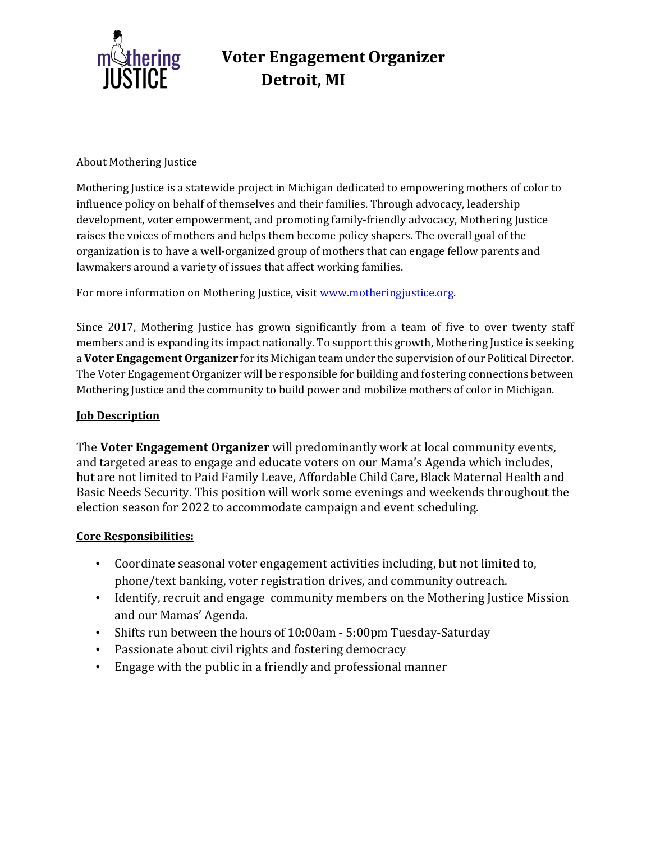

# **Voter Engagement Organizer Detroit, MI**

### About Mothering Justice

Mothering Justice is a statewide project in Michigan dedicated to empowering mothers of color to influence policy on behalf of themselves and their families. Through advocacy, leadership development, voter empowerment, and promoting family-friendly advocacy, Mothering Justice raises the voices of mothers and helps them become policy shapers. The overall goal of the organization is to have a well-organized group of mothers that can engage fellow parents and lawmakers around a variety of issues that affect working families.

For more information on Mothering Justice, visit [www.motheringjustice.org.](http://www.motheringjustice.org/)

Since 2017, Mothering Justice has grown significantly from a team of five to over twenty staff members and is expanding its impact nationally. To support this growth, Mothering Justice is seeking a **Voter Engagement Organizer** for its Michigan team under the supervision of our Political Director. The Voter Engagement Organizer will be responsible for building and fostering connections between Mothering Justice and the community to build power and mobilize mothers of color in Michigan.

### **Job Description**

The **Voter Engagement Organizer** will predominantly work at local community events, and targeted areas to engage and educate voters on our Mama's Agenda which includes, but are not limited to Paid Family Leave, Affordable Child Care, Black Maternal Health and Basic Needs Security. This position will work some evenings and weekends throughout the election season for 2022 to accommodate campaign and event scheduling.

#### **Core Responsibilities:**

- Coordinate seasonal voter engagement activities including, but not limited to, phone/text banking, voter registration drives, and community outreach.
- Identify, recruit and engage community members on the Mothering Justice Mission and our Mamas' Agenda.
- Shifts run between the hours of 10:00am 5:00pm Tuesday-Saturday
- Passionate about civil rights and fostering democracy
- Engage with the public in a friendly and professional manner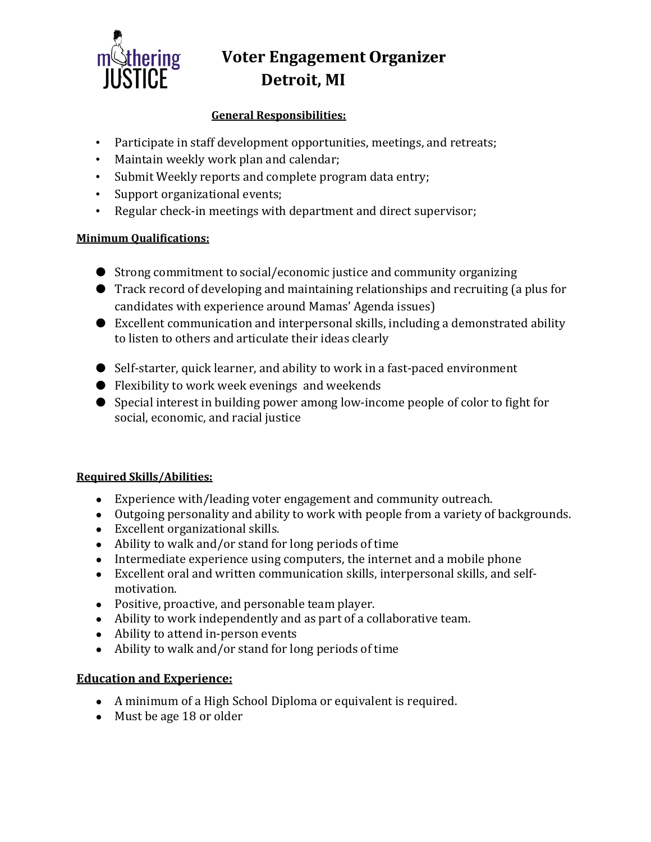

# **Voter Engagement Organizer Detroit, MI**

## **General Responsibilities:**

- Participate in staff development opportunities, meetings, and retreats;
- Maintain weekly work plan and calendar;
- Submit Weekly reports and complete program data entry;
- Support organizational events;
- Regular check-in meetings with department and direct supervisor;

## **Minimum Qualifications:**

- Strong commitment to social/economic justice and community organizing
- Track record of developing and maintaining relationships and recruiting (a plus for candidates with experience around Mamas' Agenda issues)
- Excellent communication and interpersonal skills, including a demonstrated ability to listen to others and articulate their ideas clearly
- Self-starter, quick learner, and ability to work in a fast-paced environment
- Flexibility to work week evenings and weekends
- Special interest in building power among low-income people of color to fight for social, economic, and racial justice

## **Required Skills/Abilities:**

- Experience with/leading voter engagement and community outreach.
- Outgoing personality and ability to work with people from a variety of backgrounds.
- Excellent organizational skills.
- Ability to walk and/or stand for long periods of time
- Intermediate experience using computers, the internet and a mobile phone
- Excellent oral and written communication skills, interpersonal skills, and selfmotivation.
- Positive, proactive, and personable team player.
- Ability to work independently and as part of a collaborative team.
- Ability to attend in-person events
- Ability to walk and/or stand for long periods of time

## **Education and Experience:**

- A minimum of a High School Diploma or equivalent is required.
- Must be age 18 or older